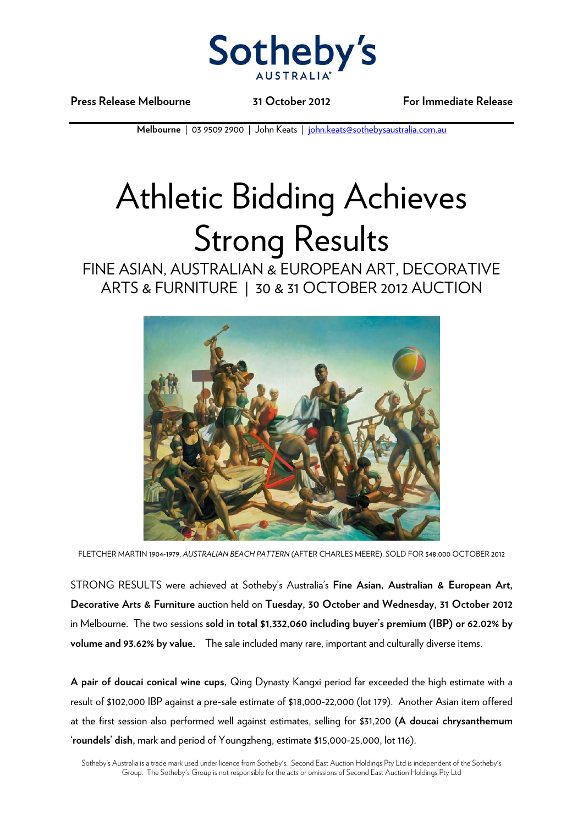

**Press Release Melbourne 31 October 2012 For Immediate Release** 

**Melbourne** | 03 9509 2900 | John Keats | john.keats@sothebysaustralia.com.au

## Athletic Bidding Achieves Strong Results

FINE ASIAN, AUSTRALIAN & EUROPEAN ART, DECORATIVE ARTS & FURNITURE | 30 & 31 OCTOBER 2012 AUCTION



FLETCHER MARTIN 1904-1979, *AUSTRALIAN BEACH PATTERN* (AFTER CHARLES MEERE). SOLD FOR \$48,000 OCTOBER 2012

STRONG RESULTS were achieved at Sotheby's Australia's **Fine Asian, Australian & European Art, Decorative Arts & Furniture** auction held on **Tuesday, 30 October and Wednesday, 31 October 2012** in Melbourne. The two sessions **sold in total \$1,332,060 including buyer's premium (IBP) or 62.02% by volume and 93.62% by value.** The sale included many rare, important and culturally diverse items.

**A pair of doucai conical wine cups,** Qing Dynasty Kangxi period far exceeded the high estimate with a result of \$102,000 IBP against a pre-sale estimate of \$18,000-22,000 (lot 179). Another Asian item offered at the first session also performed well against estimates, selling for \$31,200 **(A doucai chrysanthemum 'roundels' dish,** mark and period of Youngzheng, estimate \$15,000-25,000, lot 116).

Sotheby's Australia is a trade mark used under licence from Sotheby's. Second East Auction Holdings Pty Ltd is independent of the Sotheby's Group. The Sotheby's Group is not responsible for the acts or omissions of Second East Auction Holdings Pty Ltd